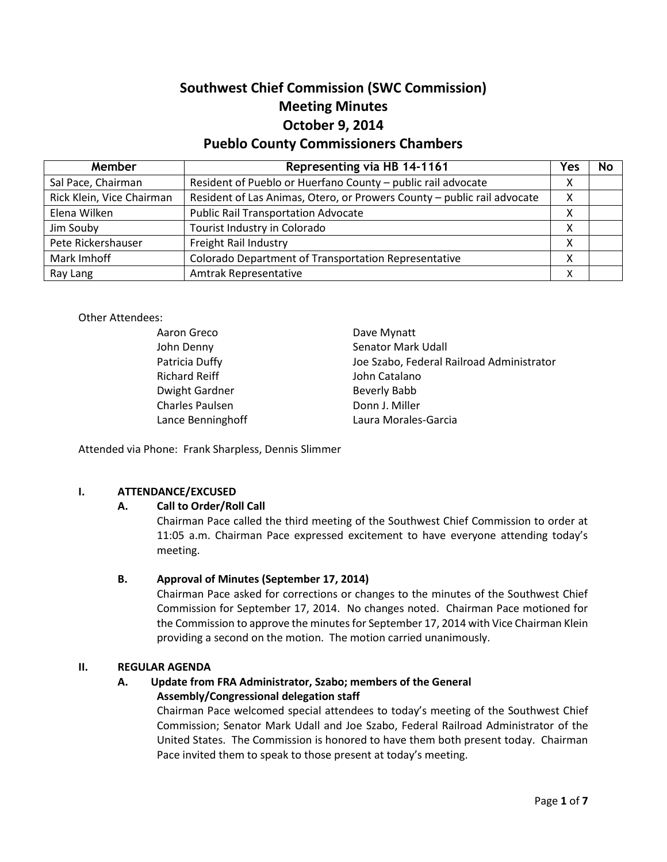# **Southwest Chief Commission (SWC Commission) Meeting Minutes October 9, 2014 Pueblo County Commissioners Chambers**

| Member                    | Representing via HB 14-1161                                             | Yes | <b>No</b> |
|---------------------------|-------------------------------------------------------------------------|-----|-----------|
| Sal Pace, Chairman        | Resident of Pueblo or Huerfano County - public rail advocate            | Χ   |           |
| Rick Klein, Vice Chairman | Resident of Las Animas, Otero, or Prowers County - public rail advocate | Χ   |           |
| Elena Wilken              | <b>Public Rail Transportation Advocate</b>                              | Χ   |           |
| Jim Souby                 | Tourist Industry in Colorado                                            | х   |           |
| Pete Rickershauser        | Freight Rail Industry                                                   | Χ   |           |
| Mark Imhoff               | Colorado Department of Transportation Representative                    | χ   |           |
| Ray Lang                  | Amtrak Representative                                                   | Χ   |           |

#### Other Attendees:

| Aaron Greco          | Dave Mynatt                               |
|----------------------|-------------------------------------------|
| John Denny           | Senator Mark Udall                        |
| Patricia Duffy       | Joe Szabo, Federal Railroad Administrator |
| <b>Richard Reiff</b> | John Catalano                             |
| Dwight Gardner       | Beverly Babb                              |
| Charles Paulsen      | Donn J. Miller                            |
| Lance Benninghoff    | Laura Morales-Garcia                      |

Attended via Phone: Frank Sharpless, Dennis Slimmer

#### **I. ATTENDANCE/EXCUSED**

#### **A. Call to Order/Roll Call**

Chairman Pace called the third meeting of the Southwest Chief Commission to order at 11:05 a.m. Chairman Pace expressed excitement to have everyone attending today's meeting.

### **B. Approval of Minutes (September 17, 2014)**

Chairman Pace asked for corrections or changes to the minutes of the Southwest Chief Commission for September 17, 2014. No changes noted. Chairman Pace motioned for the Commission to approve the minutes for September 17, 2014 with Vice Chairman Klein providing a second on the motion. The motion carried unanimously.

#### **II. REGULAR AGENDA**

# **A. Update from FRA Administrator, Szabo; members of the General Assembly/Congressional delegation staff**

Chairman Pace welcomed special attendees to today's meeting of the Southwest Chief Commission; Senator Mark Udall and Joe Szabo, Federal Railroad Administrator of the United States. The Commission is honored to have them both present today. Chairman Pace invited them to speak to those present at today's meeting.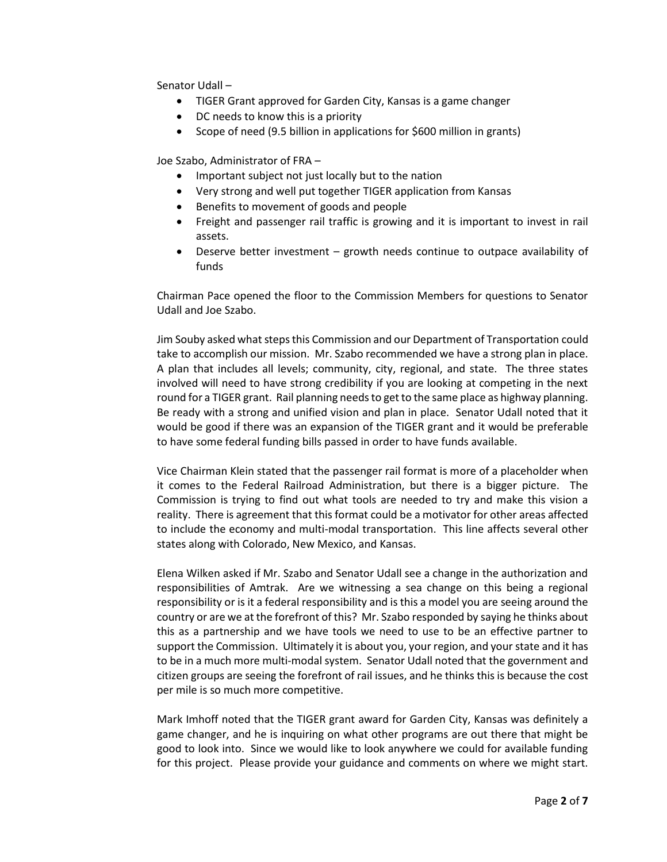Senator Udall –

- TIGER Grant approved for Garden City, Kansas is a game changer
- DC needs to know this is a priority
- Scope of need (9.5 billion in applications for \$600 million in grants)

Joe Szabo, Administrator of FRA –

- Important subject not just locally but to the nation
- Very strong and well put together TIGER application from Kansas
- Benefits to movement of goods and people
- Freight and passenger rail traffic is growing and it is important to invest in rail assets.
- Deserve better investment growth needs continue to outpace availability of funds

Chairman Pace opened the floor to the Commission Members for questions to Senator Udall and Joe Szabo.

Jim Souby asked what steps this Commission and our Department of Transportation could take to accomplish our mission. Mr. Szabo recommended we have a strong plan in place. A plan that includes all levels; community, city, regional, and state. The three states involved will need to have strong credibility if you are looking at competing in the next round for a TIGER grant. Rail planning needs to get to the same place as highway planning. Be ready with a strong and unified vision and plan in place. Senator Udall noted that it would be good if there was an expansion of the TIGER grant and it would be preferable to have some federal funding bills passed in order to have funds available.

Vice Chairman Klein stated that the passenger rail format is more of a placeholder when it comes to the Federal Railroad Administration, but there is a bigger picture. The Commission is trying to find out what tools are needed to try and make this vision a reality. There is agreement that this format could be a motivator for other areas affected to include the economy and multi-modal transportation. This line affects several other states along with Colorado, New Mexico, and Kansas.

Elena Wilken asked if Mr. Szabo and Senator Udall see a change in the authorization and responsibilities of Amtrak. Are we witnessing a sea change on this being a regional responsibility or is it a federal responsibility and is this a model you are seeing around the country or are we at the forefront of this? Mr. Szabo responded by saying he thinks about this as a partnership and we have tools we need to use to be an effective partner to support the Commission. Ultimately it is about you, your region, and your state and it has to be in a much more multi-modal system. Senator Udall noted that the government and citizen groups are seeing the forefront of rail issues, and he thinks this is because the cost per mile is so much more competitive.

Mark Imhoff noted that the TIGER grant award for Garden City, Kansas was definitely a game changer, and he is inquiring on what other programs are out there that might be good to look into. Since we would like to look anywhere we could for available funding for this project. Please provide your guidance and comments on where we might start.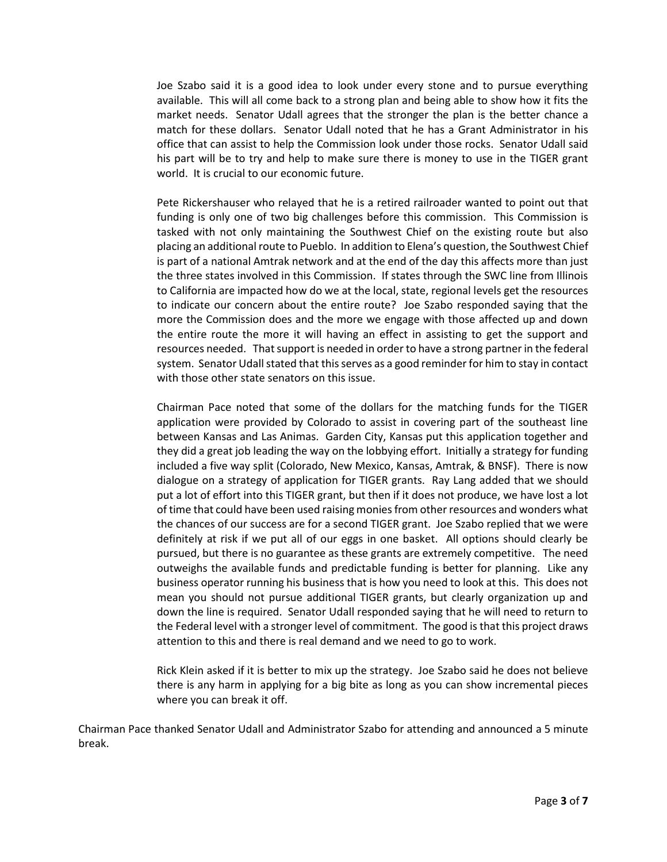Joe Szabo said it is a good idea to look under every stone and to pursue everything available. This will all come back to a strong plan and being able to show how it fits the market needs. Senator Udall agrees that the stronger the plan is the better chance a match for these dollars. Senator Udall noted that he has a Grant Administrator in his office that can assist to help the Commission look under those rocks. Senator Udall said his part will be to try and help to make sure there is money to use in the TIGER grant world. It is crucial to our economic future.

Pete Rickershauser who relayed that he is a retired railroader wanted to point out that funding is only one of two big challenges before this commission. This Commission is tasked with not only maintaining the Southwest Chief on the existing route but also placing an additional route to Pueblo. In addition to Elena's question, the Southwest Chief is part of a national Amtrak network and at the end of the day this affects more than just the three states involved in this Commission. If states through the SWC line from Illinois to California are impacted how do we at the local, state, regional levels get the resources to indicate our concern about the entire route? Joe Szabo responded saying that the more the Commission does and the more we engage with those affected up and down the entire route the more it will having an effect in assisting to get the support and resources needed. That support is needed in order to have a strong partner in the federal system. Senator Udall stated that this serves as a good reminder for him to stay in contact with those other state senators on this issue.

Chairman Pace noted that some of the dollars for the matching funds for the TIGER application were provided by Colorado to assist in covering part of the southeast line between Kansas and Las Animas. Garden City, Kansas put this application together and they did a great job leading the way on the lobbying effort. Initially a strategy for funding included a five way split (Colorado, New Mexico, Kansas, Amtrak, & BNSF). There is now dialogue on a strategy of application for TIGER grants. Ray Lang added that we should put a lot of effort into this TIGER grant, but then if it does not produce, we have lost a lot of time that could have been used raising monies from other resources and wonders what the chances of our success are for a second TIGER grant. Joe Szabo replied that we were definitely at risk if we put all of our eggs in one basket. All options should clearly be pursued, but there is no guarantee as these grants are extremely competitive. The need outweighs the available funds and predictable funding is better for planning. Like any business operator running his business that is how you need to look at this. This does not mean you should not pursue additional TIGER grants, but clearly organization up and down the line is required. Senator Udall responded saying that he will need to return to the Federal level with a stronger level of commitment. The good is that this project draws attention to this and there is real demand and we need to go to work.

Rick Klein asked if it is better to mix up the strategy. Joe Szabo said he does not believe there is any harm in applying for a big bite as long as you can show incremental pieces where you can break it off.

Chairman Pace thanked Senator Udall and Administrator Szabo for attending and announced a 5 minute break.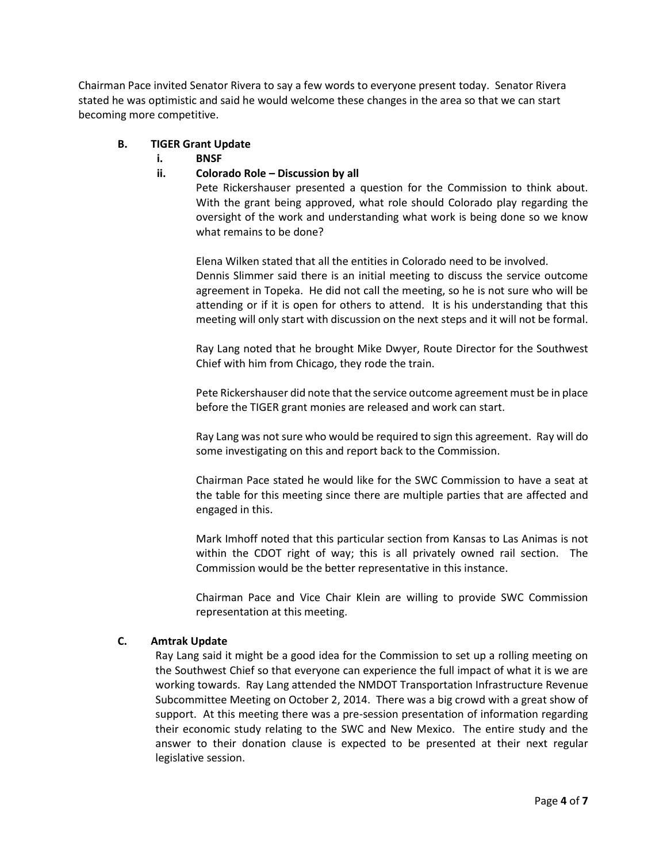Chairman Pace invited Senator Rivera to say a few words to everyone present today. Senator Rivera stated he was optimistic and said he would welcome these changes in the area so that we can start becoming more competitive.

#### **B. TIGER Grant Update**

**i. BNSF**

#### **ii. Colorado Role – Discussion by all**

Pete Rickershauser presented a question for the Commission to think about. With the grant being approved, what role should Colorado play regarding the oversight of the work and understanding what work is being done so we know what remains to be done?

Elena Wilken stated that all the entities in Colorado need to be involved. Dennis Slimmer said there is an initial meeting to discuss the service outcome agreement in Topeka. He did not call the meeting, so he is not sure who will be attending or if it is open for others to attend. It is his understanding that this meeting will only start with discussion on the next steps and it will not be formal.

Ray Lang noted that he brought Mike Dwyer, Route Director for the Southwest Chief with him from Chicago, they rode the train.

Pete Rickershauser did note that the service outcome agreement must be in place before the TIGER grant monies are released and work can start.

Ray Lang was not sure who would be required to sign this agreement. Ray will do some investigating on this and report back to the Commission.

Chairman Pace stated he would like for the SWC Commission to have a seat at the table for this meeting since there are multiple parties that are affected and engaged in this.

Mark Imhoff noted that this particular section from Kansas to Las Animas is not within the CDOT right of way; this is all privately owned rail section. The Commission would be the better representative in this instance.

Chairman Pace and Vice Chair Klein are willing to provide SWC Commission representation at this meeting.

#### **C. Amtrak Update**

Ray Lang said it might be a good idea for the Commission to set up a rolling meeting on the Southwest Chief so that everyone can experience the full impact of what it is we are working towards. Ray Lang attended the NMDOT Transportation Infrastructure Revenue Subcommittee Meeting on October 2, 2014. There was a big crowd with a great show of support. At this meeting there was a pre-session presentation of information regarding their economic study relating to the SWC and New Mexico. The entire study and the answer to their donation clause is expected to be presented at their next regular legislative session.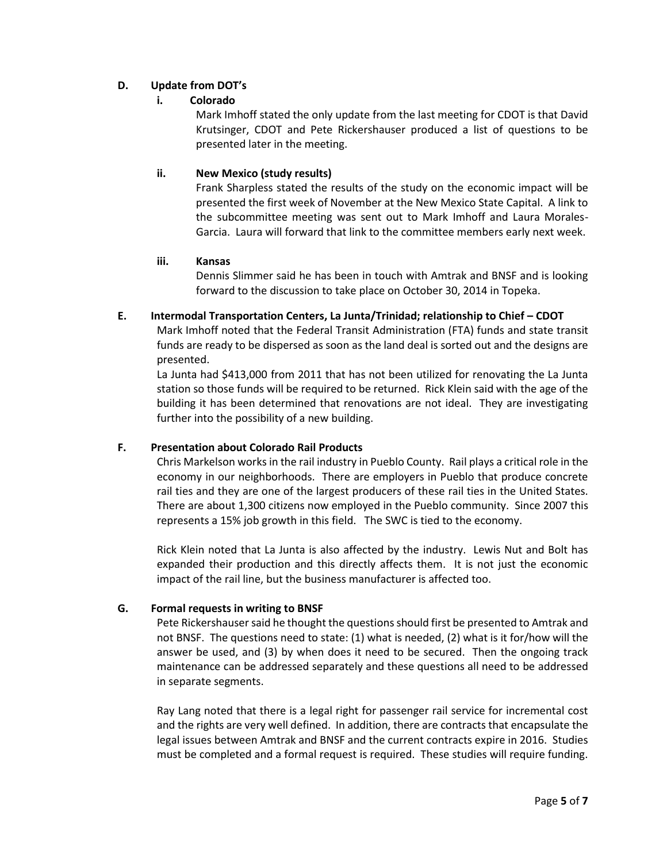# **D. Update from DOT's**

# **i. Colorado**

Mark Imhoff stated the only update from the last meeting for CDOT is that David Krutsinger, CDOT and Pete Rickershauser produced a list of questions to be presented later in the meeting.

# **ii. New Mexico (study results)**

Frank Sharpless stated the results of the study on the economic impact will be presented the first week of November at the New Mexico State Capital. A link to the subcommittee meeting was sent out to Mark Imhoff and Laura Morales-Garcia. Laura will forward that link to the committee members early next week.

### **iii. Kansas**

Dennis Slimmer said he has been in touch with Amtrak and BNSF and is looking forward to the discussion to take place on October 30, 2014 in Topeka.

# **E. Intermodal Transportation Centers, La Junta/Trinidad; relationship to Chief – CDOT**

Mark Imhoff noted that the Federal Transit Administration (FTA) funds and state transit funds are ready to be dispersed as soon as the land deal is sorted out and the designs are presented.

La Junta had \$413,000 from 2011 that has not been utilized for renovating the La Junta station so those funds will be required to be returned. Rick Klein said with the age of the building it has been determined that renovations are not ideal. They are investigating further into the possibility of a new building.

# **F. Presentation about Colorado Rail Products**

Chris Markelson works in the rail industry in Pueblo County. Rail plays a critical role in the economy in our neighborhoods. There are employers in Pueblo that produce concrete rail ties and they are one of the largest producers of these rail ties in the United States. There are about 1,300 citizens now employed in the Pueblo community. Since 2007 this represents a 15% job growth in this field. The SWC is tied to the economy.

Rick Klein noted that La Junta is also affected by the industry. Lewis Nut and Bolt has expanded their production and this directly affects them. It is not just the economic impact of the rail line, but the business manufacturer is affected too.

# **G. Formal requests in writing to BNSF**

Pete Rickershauser said he thought the questions should first be presented to Amtrak and not BNSF. The questions need to state: (1) what is needed, (2) what is it for/how will the answer be used, and (3) by when does it need to be secured. Then the ongoing track maintenance can be addressed separately and these questions all need to be addressed in separate segments.

Ray Lang noted that there is a legal right for passenger rail service for incremental cost and the rights are very well defined. In addition, there are contracts that encapsulate the legal issues between Amtrak and BNSF and the current contracts expire in 2016. Studies must be completed and a formal request is required. These studies will require funding.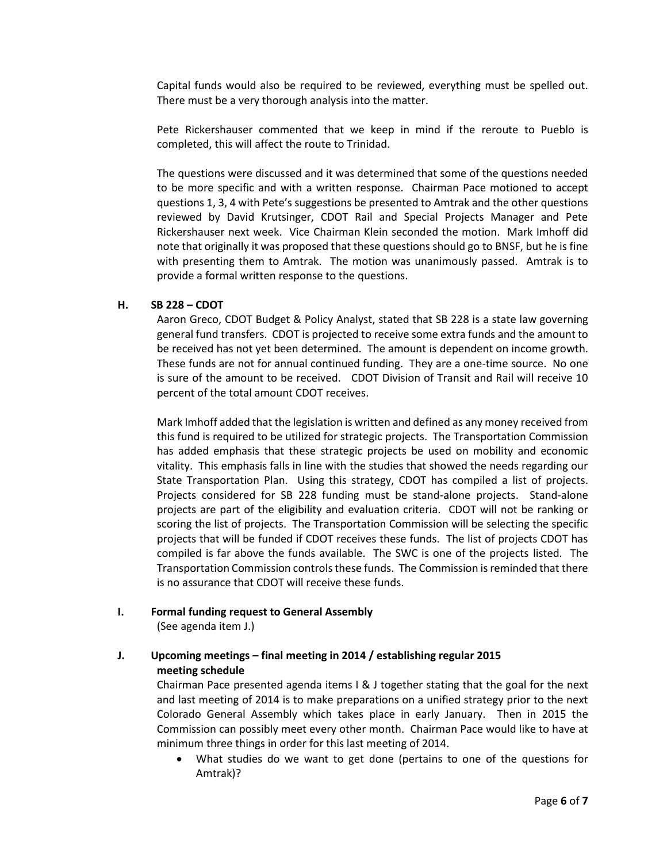Capital funds would also be required to be reviewed, everything must be spelled out. There must be a very thorough analysis into the matter.

Pete Rickershauser commented that we keep in mind if the reroute to Pueblo is completed, this will affect the route to Trinidad.

The questions were discussed and it was determined that some of the questions needed to be more specific and with a written response. Chairman Pace motioned to accept questions 1, 3, 4 with Pete's suggestions be presented to Amtrak and the other questions reviewed by David Krutsinger, CDOT Rail and Special Projects Manager and Pete Rickershauser next week. Vice Chairman Klein seconded the motion. Mark Imhoff did note that originally it was proposed that these questions should go to BNSF, but he is fine with presenting them to Amtrak. The motion was unanimously passed. Amtrak is to provide a formal written response to the questions.

#### **H. SB 228 – CDOT**

Aaron Greco, CDOT Budget & Policy Analyst, stated that SB 228 is a state law governing general fund transfers. CDOT is projected to receive some extra funds and the amount to be received has not yet been determined. The amount is dependent on income growth. These funds are not for annual continued funding. They are a one-time source. No one is sure of the amount to be received. CDOT Division of Transit and Rail will receive 10 percent of the total amount CDOT receives.

Mark Imhoff added that the legislation is written and defined as any money received from this fund is required to be utilized for strategic projects. The Transportation Commission has added emphasis that these strategic projects be used on mobility and economic vitality. This emphasis falls in line with the studies that showed the needs regarding our State Transportation Plan. Using this strategy, CDOT has compiled a list of projects. Projects considered for SB 228 funding must be stand-alone projects. Stand-alone projects are part of the eligibility and evaluation criteria. CDOT will not be ranking or scoring the list of projects. The Transportation Commission will be selecting the specific projects that will be funded if CDOT receives these funds. The list of projects CDOT has compiled is far above the funds available. The SWC is one of the projects listed. The Transportation Commission controls these funds. The Commission is reminded that there is no assurance that CDOT will receive these funds.

**I. Formal funding request to General Assembly**

(See agenda item J.)

# **J. Upcoming meetings – final meeting in 2014 / establishing regular 2015 meeting schedule**

Chairman Pace presented agenda items I & J together stating that the goal for the next and last meeting of 2014 is to make preparations on a unified strategy prior to the next Colorado General Assembly which takes place in early January. Then in 2015 the Commission can possibly meet every other month. Chairman Pace would like to have at minimum three things in order for this last meeting of 2014.

 What studies do we want to get done (pertains to one of the questions for Amtrak)?